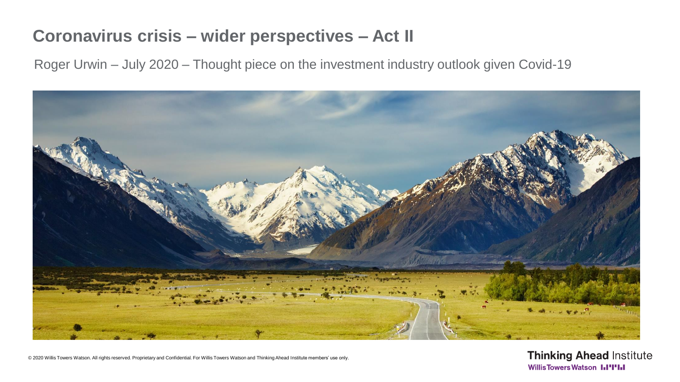# **Coronavirus crisis – wider perspectives – Act II**

Roger Urwin – July 2020 – Thought piece on the investment industry outlook given Covid-19



© 2020 Willis Towers Watson. All rights reserved. Proprietary and Confidential. For Willis Towers Watson and Thinking Ahead Institute members' use only.

**Thinking Ahead Institute WillisTowersWatson I.I'I'I.I**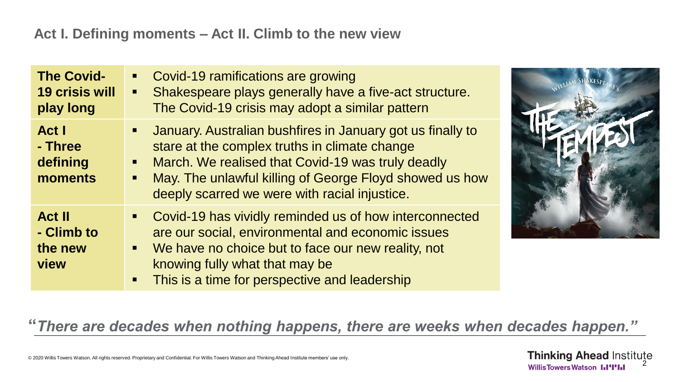#### **Act I. Defining moments – Act II. Climb to the new view**

| <b>The Covid-</b><br><b>19 crisis will</b><br>play long | Covid-19 ramifications are growing<br>$\blacksquare$<br>Shakespeare plays generally have a five-act structure.<br>$\blacksquare$<br>The Covid-19 crisis may adopt a similar pattern                                                                                                            |
|---------------------------------------------------------|------------------------------------------------------------------------------------------------------------------------------------------------------------------------------------------------------------------------------------------------------------------------------------------------|
| Act I<br>- Three<br>defining<br>moments                 | January. Australian bushfires in January got us finally to<br>stare at the complex truths in climate change<br>March. We realised that Covid-19 was truly deadly<br>$\blacksquare$<br>May. The unlawful killing of George Floyd showed us how<br>deeply scarred we were with racial injustice. |
| <b>Act II</b><br>- Climb to<br>the new<br>view          | Covid-19 has vividly reminded us of how interconnected<br>٠<br>are our social, environmental and economic issues<br>We have no choice but to face our new reality, not<br>$\blacksquare$<br>knowing fully what that may be<br>This is a time for perspective and leadership<br>п               |



**"***There are decades when nothing happens, there are weeks when decades happen."* 

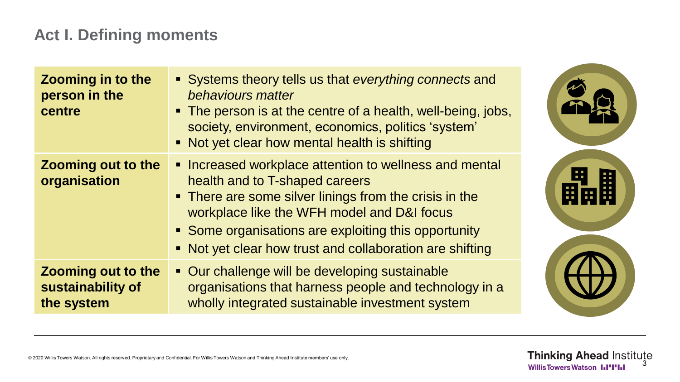# **Act I. Defining moments**

| <b>Zooming in to the</b><br>person in the<br>centre          | • Systems theory tells us that everything connects and<br>behaviours matter<br>• The person is at the centre of a health, well-being, jobs,<br>society, environment, economics, politics 'system'<br>• Not yet clear how mental health is shifting                                                                   |
|--------------------------------------------------------------|----------------------------------------------------------------------------------------------------------------------------------------------------------------------------------------------------------------------------------------------------------------------------------------------------------------------|
| <b>Zooming out to the</b><br>organisation                    | • Increased workplace attention to wellness and mental<br>health and to T-shaped careers<br>• There are some silver linings from the crisis in the<br>workplace like the WFH model and D&I focus<br>• Some organisations are exploiting this opportunity<br>• Not yet clear how trust and collaboration are shifting |
| <b>Zooming out to the</b><br>sustainability of<br>the system | • Our challenge will be developing sustainable<br>organisations that harness people and technology in a<br>wholly integrated sustainable investment system                                                                                                                                                           |

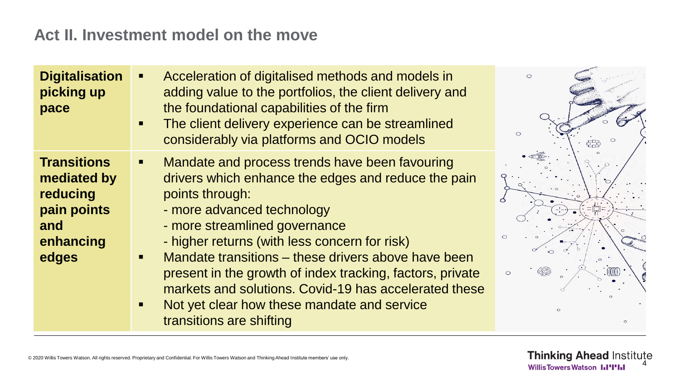### **Act II. Investment model on the move**

| <b>Digitalisation</b><br>picking up<br>pace                                               | Acceleration of digitalised methods and models in<br>adding value to the portfolios, the client delivery and<br>the foundational capabilities of the firm<br>The client delivery experience can be streamlined<br>considerably via platforms and OCIO models                                                                                                                                                                                                                                     | $\bigcirc$ |
|-------------------------------------------------------------------------------------------|--------------------------------------------------------------------------------------------------------------------------------------------------------------------------------------------------------------------------------------------------------------------------------------------------------------------------------------------------------------------------------------------------------------------------------------------------------------------------------------------------|------------|
| <b>Transitions</b><br>mediated by<br>reducing<br>pain points<br>and<br>enhancing<br>edges | Mandate and process trends have been favouring<br>drivers which enhance the edges and reduce the pain<br>points through:<br>- more advanced technology<br>- more streamlined governance<br>- higher returns (with less concern for risk)<br>Mandate transitions – these drivers above have been<br>present in the growth of index tracking, factors, private<br>markets and solutions. Covid-19 has accelerated these<br>Not yet clear how these mandate and service<br>transitions are shifting | $\circ$    |

**Thinking Ahead Institute WillisTowersWatson I.I'I'I.I** 

 $\circ$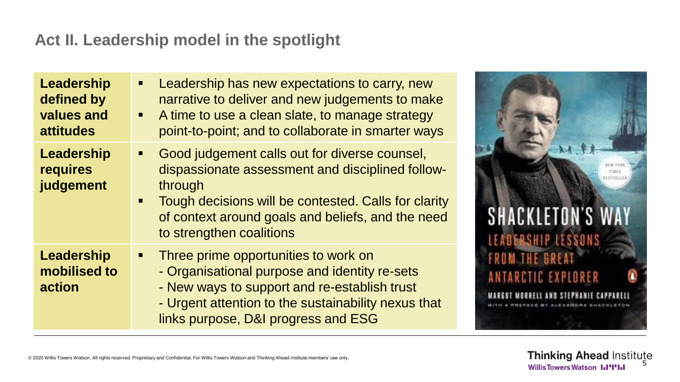# **Act II. Leadership model in the spotlight**

| <b>Leadership</b><br>defined by<br>values and<br><b>attitudes</b> | Leadership has new expectations to carry, new<br>п<br>narrative to deliver and new judgements to make<br>A time to use a clean slate, to manage strategy<br>$\blacksquare$<br>point-to-point; and to collaborate in smarter ways                                        |
|-------------------------------------------------------------------|-------------------------------------------------------------------------------------------------------------------------------------------------------------------------------------------------------------------------------------------------------------------------|
| Leadership<br>requires<br>judgement                               | Good judgement calls out for diverse counsel,<br>$\blacksquare$<br>dispassionate assessment and disciplined follow-<br>through<br>Tough decisions will be contested. Calls for clarity<br>of context around goals and beliefs, and the need<br>to strengthen coalitions |
| <b>Leadership</b><br>mobilised to<br>action                       | Three prime opportunities to work on<br>Ξ<br>- Organisational purpose and identity re-sets<br>- New ways to support and re-establish trust<br>- Urgent attention to the sustainability nexus that<br>links purpose, D&I progress and ESG                                |

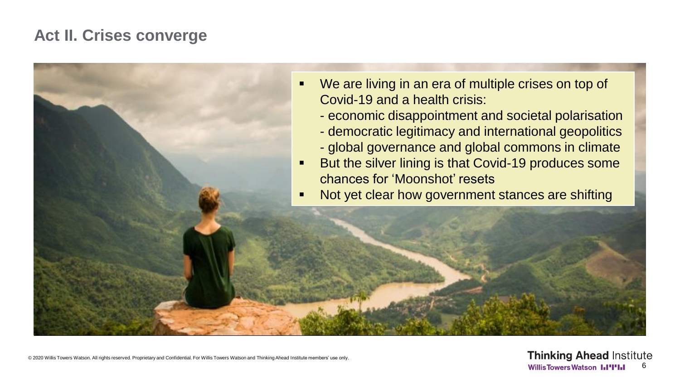### **Act II. Crises converge**



© 2020 Willis Towers Watson. All rights reserved. Proprietary and Confidential. For Willis Towers Watson and Thinking Ahead Institute members' use only.

**Thinking Ahead Institute WillisTowersWatson LI'I'LI** 6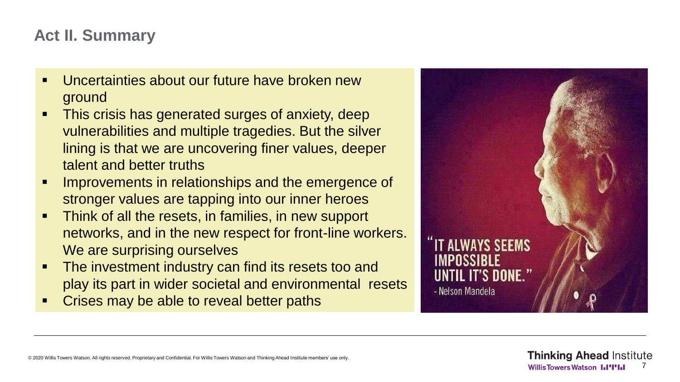### **Act II. Summary**

- Uncertainties about our future have broken new ground
- This crisis has generated surges of anxiety, deep vulnerabilities and multiple tragedies. But the silver lining is that we are uncovering finer values, deeper talent and better truths
- Improvements in relationships and the emergence of stronger values are tapping into our inner heroes
- Think of all the resets, in families, in new support networks, and in the new respect for front-line workers. We are surprising ourselves
- The investment industry can find its resets too and play its part in wider societal and environmental resets
- Crises may be able to reveal better paths

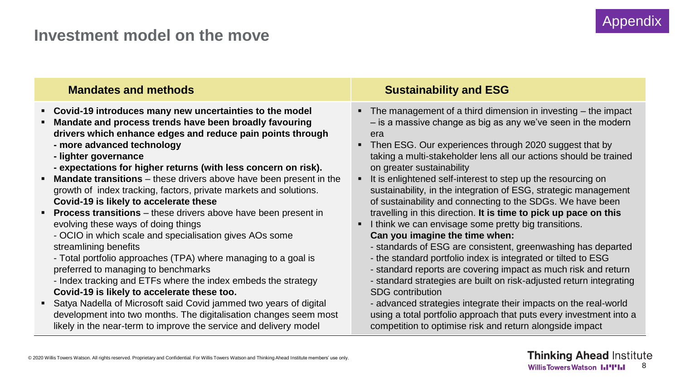#### **Investment model on the move**

| <b>Mandates and methods</b>                                               | <b>Sustainability and ESG</b>                                                  |  |
|---------------------------------------------------------------------------|--------------------------------------------------------------------------------|--|
| • Covid-19 introduces many new uncertainties to the model                 | $\blacksquare$ The management of a third dimension in investing $-$ the impact |  |
| Mandate and process trends have been broadly favouring                    | - is a massive change as big as any we've seen in the modern                   |  |
| drivers which enhance edges and reduce pain points through                | era                                                                            |  |
| - more advanced technology                                                | • Then ESG. Our experiences through 2020 suggest that by                       |  |
| - lighter governance                                                      | taking a multi-stakeholder lens all our actions should be trained              |  |
| - expectations for higher returns (with less concern on risk).            | on greater sustainability                                                      |  |
| <b>Mandate transitions</b> – these drivers above have been present in the | It is enlightened self-interest to step up the resourcing on                   |  |
| growth of index tracking, factors, private markets and solutions.         | sustainability, in the integration of ESG, strategic management                |  |
| Covid-19 is likely to accelerate these                                    | of sustainability and connecting to the SDGs. We have been                     |  |
| <b>Process transitions</b> – these drivers above have been present in     | travelling in this direction. It is time to pick up pace on this               |  |
| evolving these ways of doing things                                       | I think we can envisage some pretty big transitions.                           |  |
| - OCIO in which scale and specialisation gives AOs some                   | Can you imagine the time when:                                                 |  |
| streamlining benefits                                                     | - standards of ESG are consistent, greenwashing has departed                   |  |
| - Total portfolio approaches (TPA) where managing to a goal is            | - the standard portfolio index is integrated or tilted to ESG                  |  |
| preferred to managing to benchmarks                                       | - standard reports are covering impact as much risk and return                 |  |
| - Index tracking and ETFs where the index embeds the strategy             | - standard strategies are built on risk-adjusted return integrating            |  |
| Covid-19 is likely to accelerate these too.                               | <b>SDG</b> contribution                                                        |  |
| • Satya Nadella of Microsoft said Covid jammed two years of digital       | - advanced strategies integrate their impacts on the real-world                |  |
| development into two months. The digitalisation changes seem most         | using a total portfolio approach that puts every investment into a             |  |
| likely in the near-term to improve the service and delivery model         | competition to optimise risk and return alongside impact                       |  |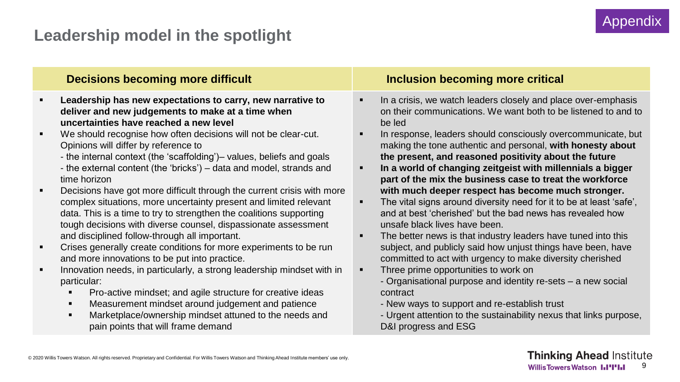# **Leadership model in the spotlight**

#### **Decisions becoming more difficult Inclusion becoming more critical** ▪ **Leadership has new expectations to carry, new narrative to deliver and new judgements to make at a time when uncertainties have reached a new level** ▪ We should recognise how often decisions will not be clear-cut. Opinions will differ by reference to - the internal context (the 'scaffolding')– values, beliefs and goals - the external content (the 'bricks') – data and model, strands and time horizon ■ Decisions have got more difficult through the current crisis with more complex situations, more uncertainty present and limited relevant data. This is a time to try to strengthen the coalitions supporting tough decisions with diverse counsel, dispassionate assessment and disciplined follow-through all important. **•** Crises generally create conditions for more experiments to be run and more innovations to be put into practice. **EXEDENT** Innovation needs, in particularly, a strong leadership mindset with in particular: ■ Pro-active mindset; and agile structure for creative ideas In a crisis, we watch leaders closely and place over-emphasis on their communications. We want both to be listened to and to be led In response, leaders should consciously overcommunicate, but making the tone authentic and personal, **with honesty about the present, and reasoned positivity about the future** In a world of changing zeitgeist with millennials a bigger **part of the mix the business case to treat the workforce with much deeper respect has become much stronger.**  ■ The vital signs around diversity need for it to be at least 'safe', and at best 'cherished' but the bad news has revealed how unsafe black lives have been. The better news is that industry leaders have tuned into this subject, and publicly said how unjust things have been, have committed to act with urgency to make diversity cherished Three prime opportunities to work on - Organisational purpose and identity re-sets – a new social contract

- Measurement mindset around judgement and patience
- Marketplace/ownership mindset attuned to the needs and pain points that will frame demand
- New ways to support and re-establish trust
- Urgent attention to the sustainability nexus that links purpose, D&I progress and ESG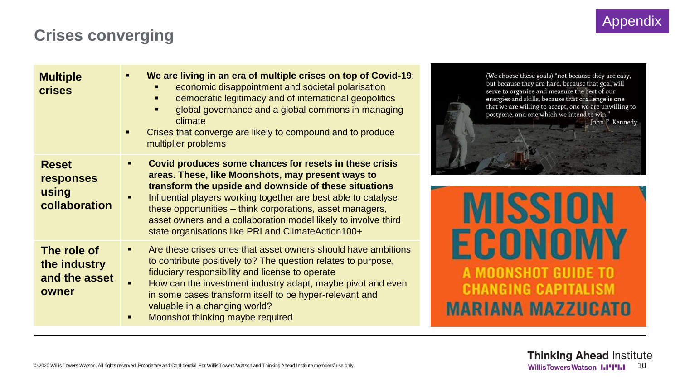### **Crises converging**

| <b>Multiple</b><br><b>crises</b>                           | We are living in an era of multiple crises on top of Covid-19:<br>п<br>economic disappointment and societal polarisation<br>democratic legitimacy and of international geopolitics<br>global governance and a global commons in managing<br>п<br>climate<br>Crises that converge are likely to compound and to produce<br>п<br>multiplier problems                                                                          |
|------------------------------------------------------------|-----------------------------------------------------------------------------------------------------------------------------------------------------------------------------------------------------------------------------------------------------------------------------------------------------------------------------------------------------------------------------------------------------------------------------|
| <b>Reset</b><br><b>responses</b><br>using<br>collaboration | Covid produces some chances for resets in these crisis<br>areas. These, like Moonshots, may present ways to<br>transform the upside and downside of these situations<br>Influential players working together are best able to catalyse<br>these opportunities – think corporations, asset managers,<br>asset owners and a collaboration model likely to involve third<br>state organisations like PRI and ClimateAction100+ |
| The role of<br>the industry<br>and the asset<br>owner      | Are these crises ones that asset owners should have ambitions<br>to contribute positively to? The question relates to purpose,<br>fiduciary responsibility and license to operate<br>How can the investment industry adapt, maybe pivot and even<br>in some cases transform itself to be hyper-relevant and<br>valuable in a changing world?<br>Moonshot thinking maybe required                                            |



**MISSION ECONOMY** A MOONSHOT GUIDE TO **CHANGING CAPITALISM MARIANA MAZZUCATO**